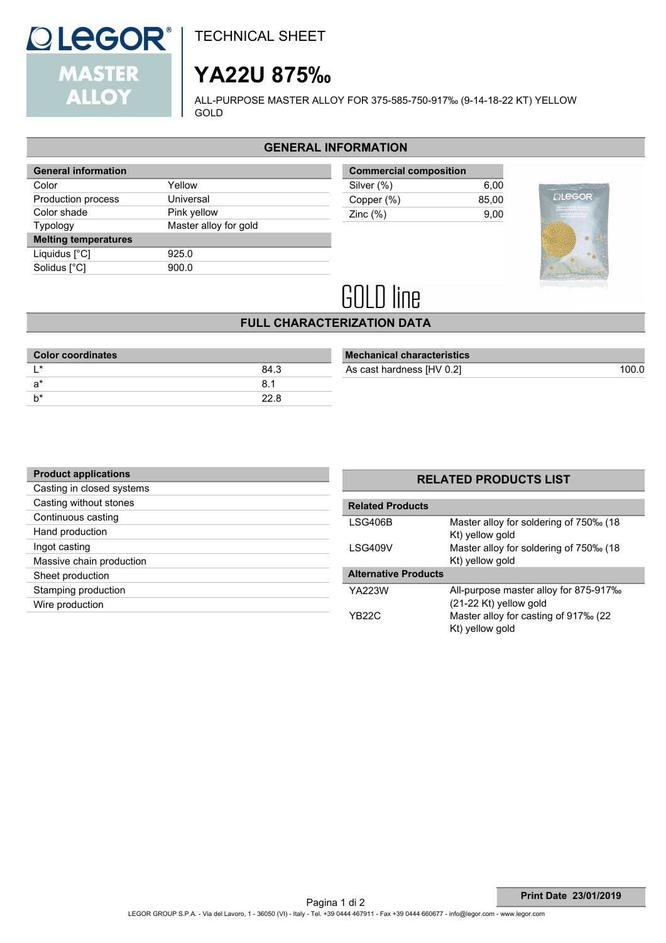

TECHNICAL SHEET

## **YA22U 875‰**

ALL-PURPOSE MASTER ALLOY FOR 375-585-750-917‰ (9-14-18-22 KT) YELLOW GOLD

### **GENERAL INFORMATION**

| <b>General information</b>  |                       |  |  |
|-----------------------------|-----------------------|--|--|
| Color                       | Yellow                |  |  |
| Production process          | Universal             |  |  |
| Color shade                 | Pink yellow           |  |  |
| Typology                    | Master alloy for gold |  |  |
| <b>Melting temperatures</b> |                       |  |  |
| Liquidus $[^{\circ}C]$      | 925.0                 |  |  |
| Solidus [°C]                | 900.0                 |  |  |
|                             |                       |  |  |

| <b>Commercial composition</b> |       |
|-------------------------------|-------|
| Silver (%)                    | 6.00  |
| Copper (%)                    | 85.00 |
| Zinc $(\%)$                   | 9.00  |
|                               |       |



# **GOLD line**

## **FULL CHARACTERIZATION DATA**

| <b>Color coordinates</b> |      |
|--------------------------|------|
| $\star$                  | 84.3 |
| a*                       | 8.1  |
|                          | 22 R |
|                          |      |

| <b>Mechanical characteristics</b> |       |
|-----------------------------------|-------|
| As cast hardness [HV 0.2]         | 100 O |
|                                   |       |

| <b>Product applications</b> |                   |
|-----------------------------|-------------------|
| Casting in closed systems   |                   |
| Casting without stones      | <b>Related P</b>  |
| Continuous casting          | LSG406B           |
| Hand production             |                   |
| Ingot casting               | <b>LSG409V</b>    |
| Massive chain production    |                   |
| Sheet production            | <b>Alternativ</b> |
| Stamping production         | YA223W            |
| Wire production             |                   |
|                             | YR221             |

## **RELATED PRODUCTS LIST**

| <b>Related Products</b>     |                                                                   |  |
|-----------------------------|-------------------------------------------------------------------|--|
| LSG406B                     | Master alloy for soldering of 750‰ (18<br>Kt) yellow gold         |  |
| LSG409V                     | Master alloy for soldering of 750‰ (18<br>Kt) yellow gold         |  |
| <b>Alternative Products</b> |                                                                   |  |
| YA223W                      | All-purpose master alloy for 875-917‰<br>$(21-22$ Kt) yellow gold |  |
| YB22C                       | Master alloy for casting of 917‰ (22<br>Kt) yellow gold           |  |